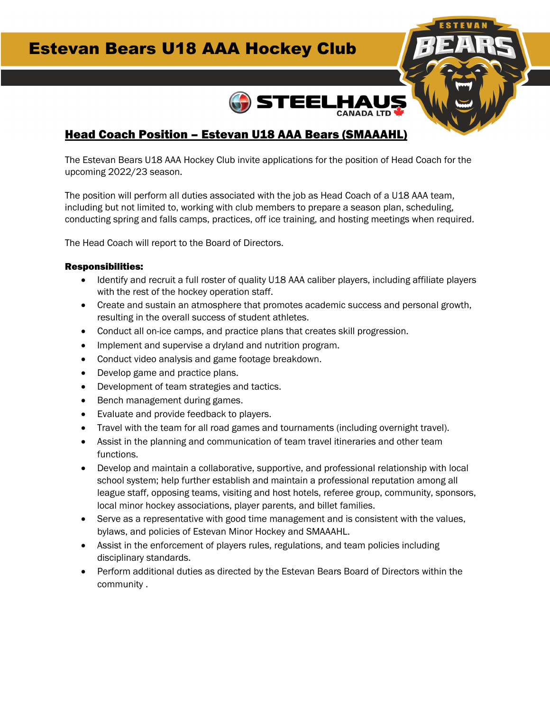# Estevan Bears U18 AAA Hockey Club



### Head Coach Position – Estevan U18 AAA Bears (SMAAAHL)

The Estevan Bears U18 AAA Hockey Club invite applications for the position of Head Coach for the upcoming 2022/23 season.

The position will perform all duties associated with the job as Head Coach of a U18 AAA team, including but not limited to, working with club members to prepare a season plan, scheduling, conducting spring and falls camps, practices, off ice training, and hosting meetings when required.

The Head Coach will report to the Board of Directors.

#### Responsibilities:

- Identify and recruit a full roster of quality U18 AAA caliber players, including affiliate players with the rest of the hockey operation staff.
- Create and sustain an atmosphere that promotes academic success and personal growth, resulting in the overall success of student athletes.
- Conduct all on-ice camps, and practice plans that creates skill progression.
- Implement and supervise a dryland and nutrition program.
- Conduct video analysis and game footage breakdown.
- Develop game and practice plans.
- Development of team strategies and tactics.
- Bench management during games.
- Evaluate and provide feedback to players.
- Travel with the team for all road games and tournaments (including overnight travel).
- Assist in the planning and communication of team travel itineraries and other team functions.
- Develop and maintain a collaborative, supportive, and professional relationship with local school system; help further establish and maintain a professional reputation among all league staff, opposing teams, visiting and host hotels, referee group, community, sponsors, local minor hockey associations, player parents, and billet families.
- Serve as a representative with good time management and is consistent with the values, bylaws, and policies of Estevan Minor Hockey and SMAAAHL.
- Assist in the enforcement of players rules, regulations, and team policies including disciplinary standards.
- Perform additional duties as directed by the Estevan Bears Board of Directors within the community .